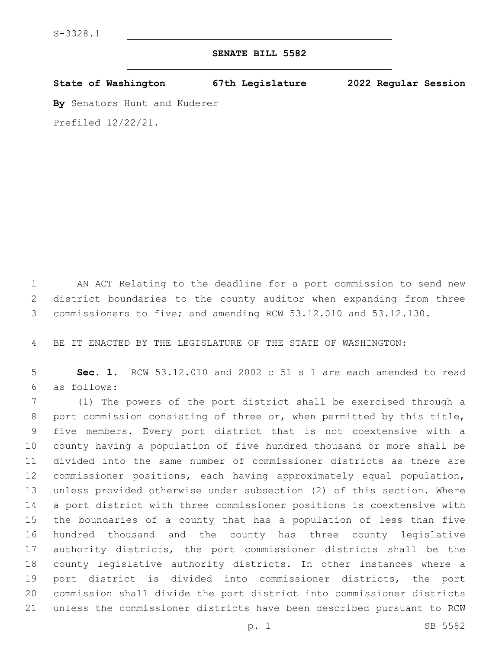## **SENATE BILL 5582**

**State of Washington 67th Legislature 2022 Regular Session**

**By** Senators Hunt and Kuderer

Prefiled 12/22/21.

 AN ACT Relating to the deadline for a port commission to send new district boundaries to the county auditor when expanding from three commissioners to five; and amending RCW 53.12.010 and 53.12.130.

BE IT ENACTED BY THE LEGISLATURE OF THE STATE OF WASHINGTON:

 **Sec. 1.** RCW 53.12.010 and 2002 c 51 s 1 are each amended to read as follows:6

 (1) The powers of the port district shall be exercised through a port commission consisting of three or, when permitted by this title, five members. Every port district that is not coextensive with a county having a population of five hundred thousand or more shall be divided into the same number of commissioner districts as there are commissioner positions, each having approximately equal population, unless provided otherwise under subsection (2) of this section. Where a port district with three commissioner positions is coextensive with the boundaries of a county that has a population of less than five hundred thousand and the county has three county legislative authority districts, the port commissioner districts shall be the county legislative authority districts. In other instances where a port district is divided into commissioner districts, the port commission shall divide the port district into commissioner districts unless the commissioner districts have been described pursuant to RCW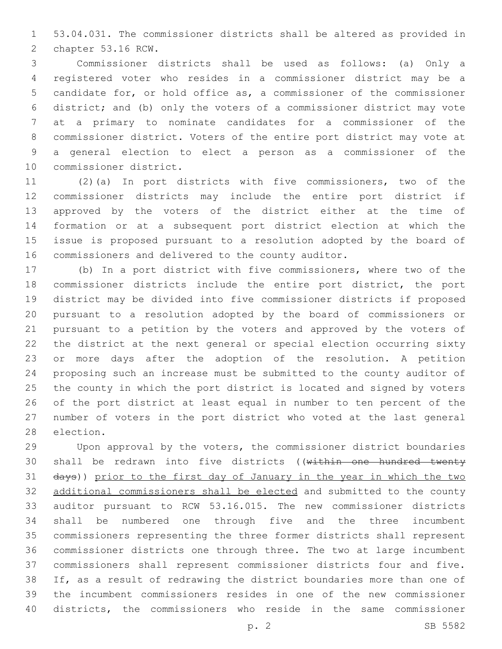53.04.031. The commissioner districts shall be altered as provided in 2 chapter 53.16 RCW.

 Commissioner districts shall be used as follows: (a) Only a registered voter who resides in a commissioner district may be a candidate for, or hold office as, a commissioner of the commissioner district; and (b) only the voters of a commissioner district may vote at a primary to nominate candidates for a commissioner of the commissioner district. Voters of the entire port district may vote at a general election to elect a person as a commissioner of the 10 commissioner district.

 (2)(a) In port districts with five commissioners, two of the commissioner districts may include the entire port district if approved by the voters of the district either at the time of formation or at a subsequent port district election at which the issue is proposed pursuant to a resolution adopted by the board of commissioners and delivered to the county auditor.

 (b) In a port district with five commissioners, where two of the commissioner districts include the entire port district, the port district may be divided into five commissioner districts if proposed pursuant to a resolution adopted by the board of commissioners or pursuant to a petition by the voters and approved by the voters of the district at the next general or special election occurring sixty or more days after the adoption of the resolution. A petition proposing such an increase must be submitted to the county auditor of the county in which the port district is located and signed by voters of the port district at least equal in number to ten percent of the number of voters in the port district who voted at the last general 28 election.

 Upon approval by the voters, the commissioner district boundaries 30 shall be redrawn into five districts ((within one hundred twenty days)) prior to the first day of January in the year in which the two additional commissioners shall be elected and submitted to the county auditor pursuant to RCW 53.16.015. The new commissioner districts shall be numbered one through five and the three incumbent commissioners representing the three former districts shall represent commissioner districts one through three. The two at large incumbent commissioners shall represent commissioner districts four and five. If, as a result of redrawing the district boundaries more than one of the incumbent commissioners resides in one of the new commissioner districts, the commissioners who reside in the same commissioner

p. 2 SB 5582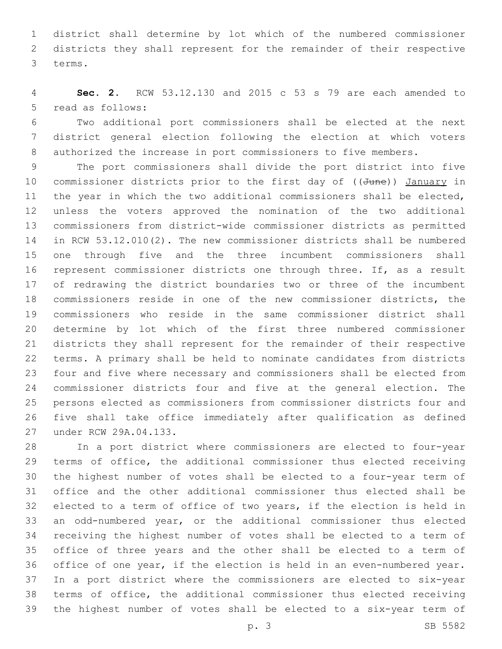district shall determine by lot which of the numbered commissioner districts they shall represent for the remainder of their respective 3 terms.

 **Sec. 2.** RCW 53.12.130 and 2015 c 53 s 79 are each amended to 5 read as follows:

 Two additional port commissioners shall be elected at the next district general election following the election at which voters authorized the increase in port commissioners to five members.

 The port commissioners shall divide the port district into five 10 commissioner districts prior to the first day of ((June)) January in the year in which the two additional commissioners shall be elected, unless the voters approved the nomination of the two additional commissioners from district-wide commissioner districts as permitted in RCW 53.12.010(2). The new commissioner districts shall be numbered one through five and the three incumbent commissioners shall represent commissioner districts one through three. If, as a result of redrawing the district boundaries two or three of the incumbent commissioners reside in one of the new commissioner districts, the commissioners who reside in the same commissioner district shall determine by lot which of the first three numbered commissioner districts they shall represent for the remainder of their respective terms. A primary shall be held to nominate candidates from districts four and five where necessary and commissioners shall be elected from commissioner districts four and five at the general election. The persons elected as commissioners from commissioner districts four and five shall take office immediately after qualification as defined 27 under RCW 29A.04.133.

 In a port district where commissioners are elected to four-year terms of office, the additional commissioner thus elected receiving the highest number of votes shall be elected to a four-year term of office and the other additional commissioner thus elected shall be elected to a term of office of two years, if the election is held in an odd-numbered year, or the additional commissioner thus elected receiving the highest number of votes shall be elected to a term of office of three years and the other shall be elected to a term of office of one year, if the election is held in an even-numbered year. In a port district where the commissioners are elected to six-year terms of office, the additional commissioner thus elected receiving the highest number of votes shall be elected to a six-year term of